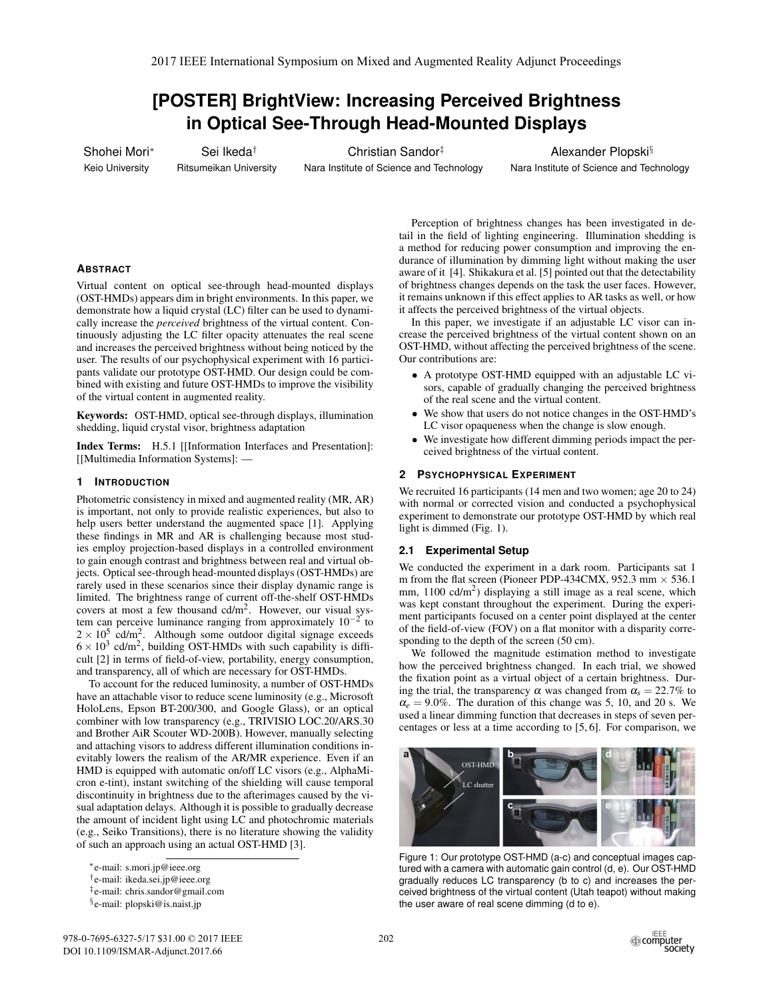# **[POSTER] BrightView: Increasing Perceived Brightness in Optical See-Through Head-Mounted Displays**

Shohei Mori<sup>∗</sup> Keio University

Sei Ikeda† Ritsumeikan University

Christian Sandor‡ Nara Institute of Science and Technology

Alexander Plopski§ Nara Institute of Science and Technology

## **ABSTRACT**

Virtual content on optical see-through head-mounted displays (OST-HMDs) appears dim in bright environments. In this paper, we demonstrate how a liquid crystal (LC) filter can be used to dynamically increase the *perceived* brightness of the virtual content. Continuously adjusting the LC filter opacity attenuates the real scene and increases the perceived brightness without being noticed by the user. The results of our psychophysical experiment with 16 participants validate our prototype OST-HMD. Our design could be combined with existing and future OST-HMDs to improve the visibility of the virtual content in augmented reality.

Keywords: OST-HMD, optical see-through displays, illumination shedding, liquid crystal visor, brightness adaptation

Index Terms: H.5.1 [[Information Interfaces and Presentation]: [[Multimedia Information Systems]: —

## **1 INTRODUCTION**

Photometric consistency in mixed and augmented reality (MR, AR) is important, not only to provide realistic experiences, but also to help users better understand the augmented space [1]. Applying these findings in MR and AR is challenging because most studies employ projection-based displays in a controlled environment to gain enough contrast and brightness between real and virtual objects. Optical see-through head-mounted displays (OST-HMDs) are rarely used in these scenarios since their display dynamic range is limited. The brightness range of current off-the-shelf OST-HMDs covers at most a few thousand cd/m2. However, our visual system can perceive luminance ranging from approximately  $10^{-2}$  to  $2 \times 10^5$  cd/m<sup>2</sup>. Although some outdoor digital signage exceeds  $6 \times 10^3$  cd/m<sup>2</sup>, building OST-HMDs with such capability is difficult [2] in terms of field-of-view, portability, energy consumption, and transparency, all of which are necessary for OST-HMDs.

To account for the reduced luminosity, a number of OST-HMDs have an attachable visor to reduce scene luminosity (e.g., Microsoft HoloLens, Epson BT-200/300, and Google Glass), or an optical combiner with low transparency (e.g., TRIVISIO LOC.20/ARS.30 and Brother AiR Scouter WD-200B). However, manually selecting and attaching visors to address different illumination conditions inevitably lowers the realism of the AR/MR experience. Even if an HMD is equipped with automatic on/off LC visors (e.g., AlphaMicron e-tint), instant switching of the shielding will cause temporal discontinuity in brightness due to the afterimages caused by the visual adaptation delays. Although it is possible to gradually decrease the amount of incident light using LC and photochromic materials (e.g., Seiko Transitions), there is no literature showing the validity of such an approach using an actual OST-HMD [3].

Perception of brightness changes has been investigated in detail in the field of lighting engineering. Illumination shedding is a method for reducing power consumption and improving the endurance of illumination by dimming light without making the user aware of it [4]. Shikakura et al. [5] pointed out that the detectability of brightness changes depends on the task the user faces. However, it remains unknown if this effect applies to AR tasks as well, or how it affects the perceived brightness of the virtual objects.

In this paper, we investigate if an adjustable LC visor can increase the perceived brightness of the virtual content shown on an OST-HMD, without affecting the perceived brightness of the scene. Our contributions are:

- A prototype OST-HMD equipped with an adjustable LC visors, capable of gradually changing the perceived brightness of the real scene and the virtual content.
- We show that users do not notice changes in the OST-HMD's LC visor opaqueness when the change is slow enough.
- We investigate how different dimming periods impact the perceived brightness of the virtual content.

## **2 PSYCHOPHYSICAL EXPERIMENT**

We recruited 16 participants (14 men and two women; age 20 to 24) with normal or corrected vision and conducted a psychophysical experiment to demonstrate our prototype OST-HMD by which real light is dimmed (Fig. 1).

#### **2.1 Experimental Setup**

We conducted the experiment in a dark room. Participants sat 1 m from the flat screen (Pioneer PDP-434CMX, 952.3 mm  $\times$  536.1 mm,  $1100 \text{ cd/m}^2$ ) displaying a still image as a real scene, which was kept constant throughout the experiment. During the experiment participants focused on a center point displayed at the center of the field-of-view (FOV) on a flat monitor with a disparity corresponding to the depth of the screen  $(50 \text{ cm})$ .

We followed the magnitude estimation method to investigate how the perceived brightness changed. In each trial, we showed the fixation point as a virtual object of a certain brightness. During the trial, the transparency  $\alpha$  was changed from  $\alpha_s = 22.7\%$  to  $\alpha_e = 9.0\%$ . The duration of this change was 5, 10, and 20 s. We used a linear dimming function that decreases in steps of seven percentages or less at a time according to [5, 6]. For comparison, we



Figure 1: Our prototype OST-HMD (a-c) and conceptual images captured with a camera with automatic gain control (d, e). Our OST-HMD gradually reduces LC transparency (b to c) and increases the perceived brightness of the virtual content (Utah teapot) without making the user aware of real scene dimming (d to e).

<sup>∗</sup>e-mail: s.mori.jp@ieee.org

<sup>†</sup>e-mail: ikeda.sei.jp@ieee.org

<sup>‡</sup>e-mail: chris.sandor@gmail.com

<sup>§</sup>e-mail: plopski@is.naist.jp